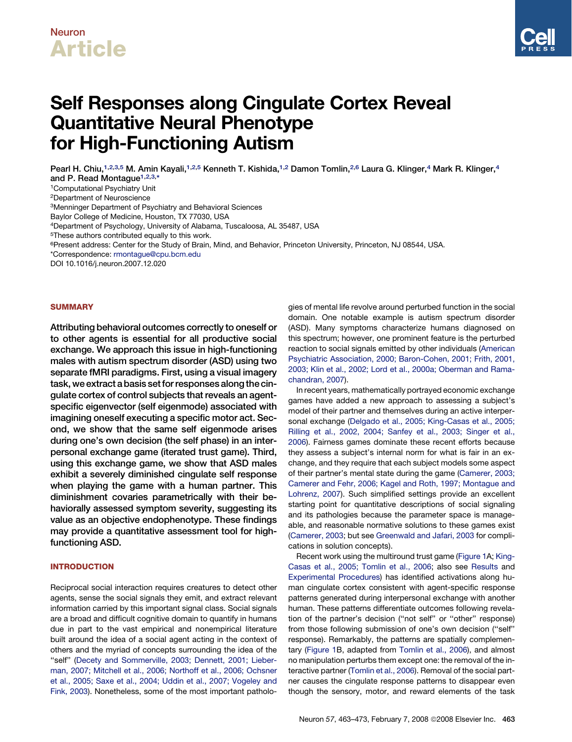# Neuron Article



# Self Responses along Cingulate Cortex Reveal Quantitative Neural Phenotype for High-Functioning Autism

Pearl H. Chiu,<sup>1,2,3,5</sup> M. Amin Kayali,<sup>1,2,5</sup> Kenneth T. Kishida,<sup>1,2</sup> Damon Tomlin,<sup>2,6</sup> Laura G. Klinger,<sup>4</sup> Mark R. Klinger,<sup>4</sup> and P. Read Montague<sup>1,2,3,\*</sup>

1Computational Psychiatry Unit

2Department of Neuroscience

3Menninger Department of Psychiatry and Behavioral Sciences

Baylor College of Medicine, Houston, TX 77030, USA

4Department of Psychology, University of Alabama, Tuscaloosa, AL 35487, USA

5These authors contributed equally to this work.

<sup>6</sup>Present address: Center for the Study of Brain, Mind, and Behavior, Princeton University, Princeton, NJ 08544, USA.

\*Correspondence: [rmontague@cpu.bcm.edu](mailto:rmontague@cpu.bcm.edu)

DOI 10.1016/j.neuron.2007.12.020

#### **SUMMARY**

Attributing behavioral outcomes correctly to oneself or to other agents is essential for all productive social exchange. We approach this issue in high-functioning males with autism spectrum disorder (ASD) using two separate fMRI paradigms. First, using a visual imagery task, we extract a basis set for responses along the cingulate cortex of control subjects that reveals an agentspecific eigenvector (self eigenmode) associated with imagining oneself executing a specific motor act. Second, we show that the same self eigenmode arises during one's own decision (the self phase) in an interpersonal exchange game (iterated trust game). Third, using this exchange game, we show that ASD males exhibit a severely diminished cingulate self response when playing the game with a human partner. This diminishment covaries parametrically with their behaviorally assessed symptom severity, suggesting its value as an objective endophenotype. These findings may provide a quantitative assessment tool for highfunctioning ASD.

# **INTRODUCTION**

Reciprocal social interaction requires creatures to detect other agents, sense the social signals they emit, and extract relevant information carried by this important signal class. Social signals are a broad and difficult cognitive domain to quantify in humans due in part to the vast empirical and nonempirical literature built around the idea of a social agent acting in the context of others and the myriad of concepts surrounding the idea of the "self" (Decety and [Sommerville,](#page-10-0) 2003; Dennett, 2001; Lieberman, 2007; Mitchell et al., 2006; Northoff et al., 2006; [Ochsner](#page-10-0) et al., 2005; Saxe et al., 2004; Uddin et al., 2007; [Vogeley](#page-10-0) and Fink, [2003\)](#page-10-0). Nonetheless, some of the most important pathologies of mental life revolve around perturbed function in the social domain. One notable example is autism spectrum disorder (ASD). Many symptoms characterize humans diagnosed on this spectrum; however, one prominent feature is the perturbed reaction to social signals emitted by other individuals [\(American](#page-9-0) Psychiatric Association, 2000; [Baron-Cohen,](#page-9-0) 2001; Frith, 2001, 2003; Klin et al., 2002; Lord et al., 2000a; [Oberman](#page-9-0) and Rama[chandran,](#page-9-0) 2007).

In recent years, mathematically portrayed economic exchange games have added a new approach to assessing a subject's model of their partner and themselves during an active interpersonal exchange (Delgado et al., 2005; [King-Casas](#page-10-0) et al., 2005; Rilling et al., 2002, 2004; [Sanfey](#page-10-0) et al., 2003; Singer et al., [2006\)](#page-10-0). Fairness games dominate these recent efforts because they assess a subject's internal norm for what is fair in an exchange, and they require that each subject models some aspect of their partner's mental state during the game ([Camerer,](#page-9-0) 2003; Camerer and Fehr, 2006; Kagel and Roth, 1997; [Montague](#page-9-0) and [Lohrenz,](#page-9-0) 2007). Such simplified settings provide an excellent starting point for quantitative descriptions of social signaling and its pathologies because the parameter space is manageable, and reasonable normative solutions to these games exist [\(Camerer,](#page-9-0) 2003; but see [Greenwald](#page-10-0) and Jafari, 2003 for complications in solution concepts).

Recent work using the multiround trust game [\(Figure](#page-1-0) 1A; [King-](#page-10-0)Casas et al., 2005; [Tomlin](#page-10-0) et al., 2006; also see [Results](#page-1-0) and [Experimental](#page-8-0) Procedures) has identified activations along human cingulate cortex consistent with agent-specific response patterns generated during interpersonal exchange with another human. These patterns differentiate outcomes following revelation of the partner's decision (''not self'' or ''other'' response) from those following submission of one's own decision (''self'' response). Remarkably, the patterns are spatially complementary ([Figure](#page-1-0) 1B, adapted from [Tomlin](#page-10-0) et al., 2006), and almost no manipulation perturbs them except one: the removal of the interactive partner ([Tomlin](#page-10-0) et al., 2006). Removal of the social partner causes the cingulate response patterns to disappear even though the sensory, motor, and reward elements of the task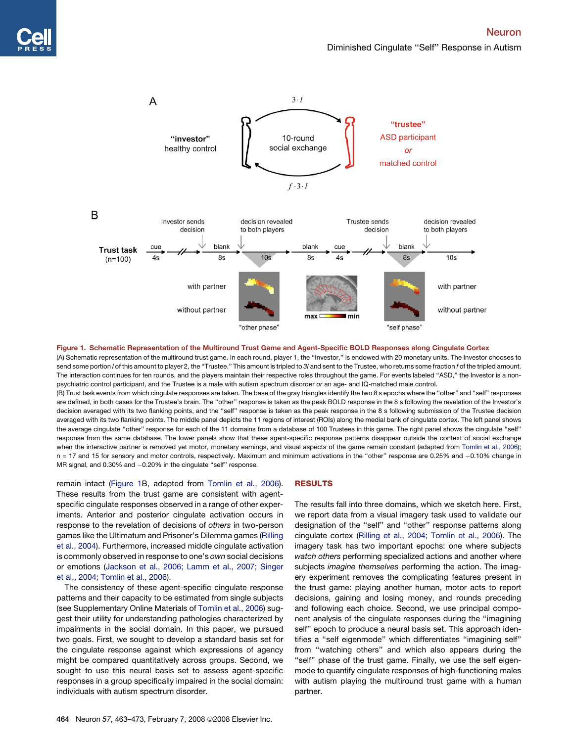<span id="page-1-0"></span>

Figure 1. Schematic Representation of the Multiround Trust Game and Agent-Specific BOLD Responses along Cingulate Cortex

(A) Schematic representation of the multiround trust game. In each round, player 1, the ''Investor,'' is endowed with 20 monetary units. The Investor chooses to send some portion *I* of this amount to player 2, the ''Trustee.'' This amount is tripled to *3I* and sent to the Trustee, who returns some fraction *f* of the tripled amount. The interaction continues for ten rounds, and the players maintain their respective roles throughout the game. For events labeled "ASD," the Investor is a nonpsychiatric control participant, and the Trustee is a male with autism spectrum disorder *or* an age- and IQ-matched male control.

(B) Trust task events from which cingulate responses are taken. The base of the gray triangles identify the two 8 s epochs where the ''other'' and ''self'' responses are defined, in both cases for the Trustee's brain. The ''other'' response is taken as the peak BOLD response in the 8 s following the revelation of the Investor's decision averaged with its two flanking points, and the "self" response is taken as the peak response in the 8 s following submission of the Trustee decision averaged with its two flanking points. The middle panel depicts the 11 regions of interest (ROIs) along the medial bank of cingulate cortex. The left panel shows the average cingulate ''other'' response for each of the 11 domains from a database of 100 Trustees in this game. The right panel shows the cingulate ''self'' response from the same database. The lower panels show that these agent-specific response patterns disappear outside the context of social exchange when the interactive partner is removed yet motor, monetary earnings, and visual aspects of the game remain constant (adapted from [Tomlin](#page-10-0) et al., 2006); n = 17 and 15 for sensory and motor controls, respectively. Maximum and minimum activations in the "other" response are 0.25% and -0.10% change in MR signal, and 0.30% and -0.20% in the cingulate "self" response.

remain intact (Figure 1B, adapted from [Tomlin](#page-10-0) et al., 2006). These results from the trust game are consistent with agentspecific cingulate responses observed in a range of other experiments. Anterior and posterior cingulate activation occurs in response to the revelation of decisions of *others* in two-person games like the Ultimatum and Prisoner's Dilemma games [\(Rilling](#page-10-0) et al., [2004](#page-10-0)). Furthermore, increased middle cingulate activation is commonly observed in response to one's *own* social decisions or emotions ([Jackson](#page-10-0) et al., 2006; Lamm et al., 2007; Singer et al., 2004; [Tomlin](#page-10-0) et al., 2006).

The consistency of these agent-specific cingulate response patterns and their capacity to be estimated from single subjects (see Supplementary Online Materials of [Tomlin](#page-10-0) et al., 2006) suggest their utility for understanding pathologies characterized by impairments in the social domain. In this paper, we pursued two goals. First, we sought to develop a standard basis set for the cingulate response against which expressions of agency might be compared quantitatively across groups. Second, we sought to use this neural basis set to assess agent-specific responses in a group specifically impaired in the social domain: individuals with autism spectrum disorder.

### **RESULTS**

The results fall into three domains, which we sketch here. First, we report data from a visual imagery task used to validate our designation of the ''self'' and ''other'' response patterns along cingulate cortex (Rilling et al., 2004; [Tomlin](#page-10-0) et al., 2006). The imagery task has two important epochs: one where subjects *watch others* performing specialized actions and another where subjects *imagine themselves* performing the action. The imagery experiment removes the complicating features present in the trust game: playing another human, motor acts to report decisions, gaining and losing money, and rounds preceding and following each choice. Second, we use principal component analysis of the cingulate responses during the ''imagining self'' epoch to produce a neural basis set. This approach identifies a ''self eigenmode'' which differentiates ''imagining self'' from ''watching others'' and which also appears during the "self" phase of the trust game. Finally, we use the self eigenmode to quantify cingulate responses of high-functioning males with autism playing the multiround trust game with a human partner.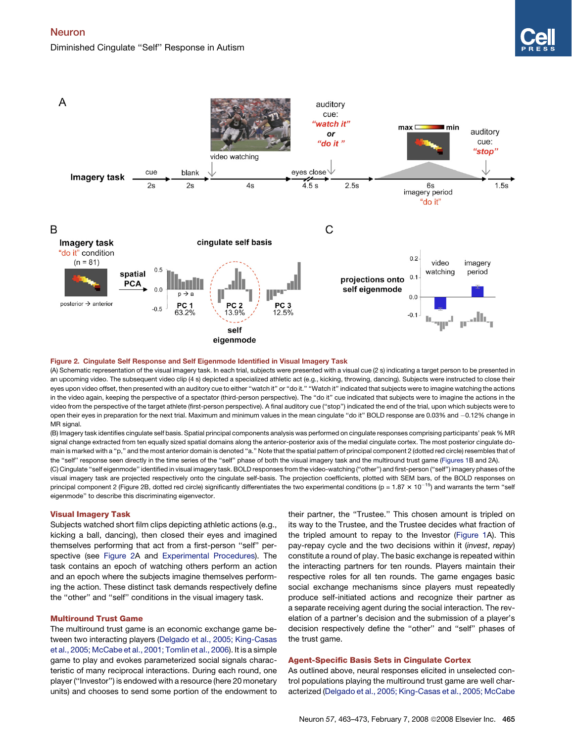<span id="page-2-0"></span>

### Figure 2. Cingulate Self Response and Self Eigenmode Identified in Visual Imagery Task

(A) Schematic representation of the visual imagery task. In each trial, subjects were presented with a visual cue (2 s) indicating a target person to be presented in an upcoming video. The subsequent video clip (4 s) depicted a specialized athletic act (e.g., kicking, throwing, dancing). Subjects were instructed to close their eyes upon video offset, then presented with an auditory cue to either "watch it" or "do it." "Watch it" indicated that subjects were to imagine watching the actions in the video again, keeping the perspective of a spectator (third-person perspective). The ''do it'' cue indicated that subjects were to imagine the actions in the video from the perspective of the target athlete (first-person perspective). A final auditory cue (''stop'') indicated the end of the trial, upon which subjects were to open their eyes in preparation for the next trial. Maximum and minimum values in the mean cingulate "do it" BOLD response are 0.03% and -0.12% change in MR signal.

(B) Imagery task identifies cingulate self basis. Spatial principal components analysis was performed on cingulate responses comprising participants' peak % MR signal change extracted from ten equally sized spatial domains along the anterior-posterior axis of the medial cingulate cortex. The most posterior cingulate domain is marked with a "p," and the most anterior domain is denoted "a." Note that the spatial pattern of principal component 2 (dotted red circle) resembles that of the ''self'' response seen directly in the time series of the ''self'' phase of both the visual imagery task and the multiround trust game [\(Figures](#page-1-0) 1B and 2A).

(C) Cingulate ''self eigenmode'' identified in visual imagery task. BOLD responses from the video-watching (''other'') and first-person (''self'') imagery phases of the visual imagery task are projected respectively onto the cingulate self-basis. The projection coefficients, plotted with SEM bars, of the BOLD responses on principal component 2 (Figure 2B, dotted red circle) significantly differentiates the two experimental conditions ( $p = 1.87 \times 10^{-15}$ ) and warrants the term "self eigenmode'' to describe this discriminating eigenvector.

## Visual Imagery Task

Subjects watched short film clips depicting athletic actions (e.g., kicking a ball, dancing), then closed their eyes and imagined themselves performing that act from a first-person ''self'' perspective (see Figure 2A and [Experimental](#page-8-0) Procedures). The task contains an epoch of watching others perform an action and an epoch where the subjects imagine themselves performing the action. These distinct task demands respectively define the ''other'' and ''self'' conditions in the visual imagery task.

# Multiround Trust Game

The multiround trust game is an economic exchange game between two interacting players (Delgado et al., 2005; [King-Casas](#page-10-0) et al., 2005; [McCabe](#page-10-0) et al., 2001; Tomlin et al., 2006). It is a simple game to play and evokes parameterized social signals characteristic of many reciprocal interactions. During each round, one player (''Investor'') is endowed with a resource (here 20 monetary units) and chooses to send some portion of the endowment to their partner, the ''Trustee.'' This chosen amount is tripled on its way to the Trustee, and the Trustee decides what fraction of the tripled amount to repay to the Investor [\(Figure](#page-1-0) 1A). This pay-repay cycle and the two decisions within it (*invest*, *repay*) constitute a round of play. The basic exchange is repeated within the interacting partners for ten rounds. Players maintain their respective roles for all ten rounds. The game engages basic social exchange mechanisms since players must repeatedly produce self-initiated actions and recognize their partner as a separate receiving agent during the social interaction. The revelation of a partner's decision and the submission of a player's decision respectively define the ''other'' and ''self'' phases of the trust game.

# Agent-Specific Basis Sets in Cingulate Cortex

As outlined above, neural responses elicited in unselected control populations playing the multiround trust game are well characterized (Delgado et al., 2005; [King-Casas](#page-10-0) et al., 2005; McCabe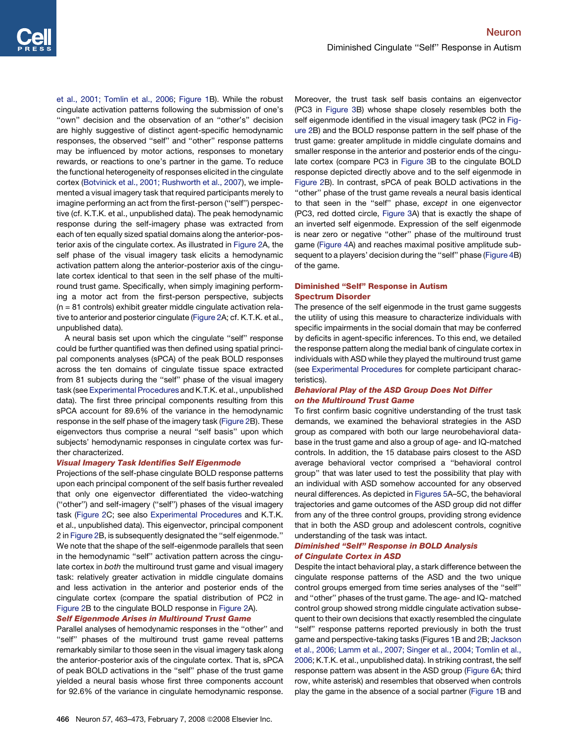et al., 2001; [Tomlin](#page-10-0) et al., 2006; [Figure](#page-1-0) 1B). While the robust cingulate activation patterns following the submission of one's "own" decision and the observation of an "other's" decision are highly suggestive of distinct agent-specific hemodynamic responses, the observed ''self'' and ''other'' response patterns may be influenced by motor actions, responses to monetary rewards, or reactions to one's partner in the game. To reduce the functional heterogeneity of responses elicited in the cingulate cortex (Botvinick et al., 2001; [Rushworth](#page-9-0) et al., 2007), we implemented a visual imagery task that required participants merely to imagine performing an act from the first-person (''self'') perspective (cf. K.T.K. et al., unpublished data). The peak hemodynamic response during the self-imagery phase was extracted from each of ten equally sized spatial domains along the anterior-posterior axis of the cingulate cortex. As illustrated in [Figure](#page-2-0) 2A, the self phase of the visual imagery task elicits a hemodynamic activation pattern along the anterior-posterior axis of the cingulate cortex identical to that seen in the self phase of the multiround trust game. Specifically, when simply imagining performing a motor act from the first-person perspective, subjects  $(n = 81$  controls) exhibit greater middle cingulate activation relative to anterior and posterior cingulate ([Figure](#page-2-0) 2A; cf. K.T.K. et al., unpublished data).

A neural basis set upon which the cingulate ''self'' response could be further quantified was then defined using spatial principal components analyses (sPCA) of the peak BOLD responses across the ten domains of cingulate tissue space extracted from 81 subjects during the ''self'' phase of the visual imagery task (see [Experimental](#page-8-0) Procedures and K.T.K. et al., unpublished data). The first three principal components resulting from this sPCA account for 89.6% of the variance in the hemodynamic response in the self phase of the imagery task ([Figure](#page-2-0) 2B). These eigenvectors thus comprise a neural ''self basis'' upon which subjects' hemodynamic responses in cingulate cortex was further characterized.

## Visual Imagery Task Identifies Self Eigenmode

Projections of the self-phase cingulate BOLD response patterns upon each principal component of the self basis further revealed that only one eigenvector differentiated the video-watching (''other'') and self-imagery (''self'') phases of the visual imagery task ([Figure](#page-2-0) 2C; see also [Experimental](#page-8-0) Procedures and K.T.K. et al., unpublished data). This eigenvector, principal component 2 in [Figure](#page-2-0) 2B, is subsequently designated the ''self eigenmode.'' We note that the shape of the self-eigenmode parallels that seen in the hemodynamic ''self'' activation pattern across the cingulate cortex in *both* the multiround trust game and visual imagery task: relatively greater activation in middle cingulate domains and less activation in the anterior and posterior ends of the cingulate cortex (compare the spatial distribution of PC2 in [Figure](#page-2-0) 2B to the cingulate BOLD response in [Figure](#page-2-0) 2A).

## Self Eigenmode Arises in Multiround Trust Game

Parallel analyses of hemodynamic responses in the ''other'' and "self" phases of the multiround trust game reveal patterns remarkably similar to those seen in the visual imagery task along the anterior-posterior axis of the cingulate cortex. That is, sPCA of peak BOLD activations in the ''self'' phase of the trust game yielded a neural basis whose first three components account for 92.6% of the variance in cingulate hemodynamic response.

466 Neuron 57, 463-473, February 7, 2008 © 2008 Elsevier Inc.

Moreover, the trust task self basis contains an eigenvector (PC3 in [Figure](#page-4-0) 3B) whose shape closely resembles both the self eigenmode identified in the visual imagery task (PC2 in [Fig](#page-2-0)[ure](#page-2-0) 2B) and the BOLD response pattern in the self phase of the trust game: greater amplitude in middle cingulate domains and smaller response in the anterior and posterior ends of the cingulate cortex (compare PC3 in [Figure](#page-4-0) 3B to the cingulate BOLD response depicted directly above and to the self eigenmode in [Figure](#page-2-0) 2B). In contrast, sPCA of peak BOLD activations in the ''other'' phase of the trust game reveals a neural basis identical to that seen in the ''self'' phase, *except* in one eigenvector (PC3, red dotted circle, [Figure](#page-4-0) 3A) that is exactly the shape of an inverted self eigenmode. Expression of the self eigenmode is near zero or negative ''other'' phase of the multiround trust game ([Figure](#page-5-0) 4A) and reaches maximal positive amplitude subsequent to a players' decision during the ''self'' phase ([Figure](#page-5-0) 4B) of the game.

## Diminished ''Self'' Response in Autism Spectrum Disorder

The presence of the self eigenmode in the trust game suggests the utility of using this measure to characterize individuals with specific impairments in the social domain that may be conferred by deficits in agent-specific inferences. To this end, we detailed the response pattern along the medial bank of cingulate cortex in individuals with ASD while they played the multiround trust game (see [Experimental](#page-8-0) Procedures for complete participant characteristics).

## Behavioral Play of the ASD Group Does Not Differ on the Multiround Trust Game

To first confirm basic cognitive understanding of the trust task demands, we examined the behavioral strategies in the ASD group as compared with both our large neurobehavioral database in the trust game and also a group of age- and IQ-matched controls. In addition, the 15 database pairs closest to the ASD average behavioral vector comprised a ''behavioral control group'' that was later used to test the possibility that play with an individual with ASD somehow accounted for any observed neural differences. As depicted in [Figures](#page-6-0) 5A–5C, the behavioral trajectories and game outcomes of the ASD group did not differ from any of the three control groups, providing strong evidence that in both the ASD group and adolescent controls, cognitive understanding of the task was intact.

## Diminished ''Self'' Response in BOLD Analysis of Cingulate Cortex in ASD

Despite the intact behavioral play, a stark difference between the cingulate response patterns of the ASD and the two unique control groups emerged from time series analyses of the ''self'' and ''other'' phases of the trust game. The age- and IQ- matched control group showed strong middle cingulate activation subsequent to their own decisions that exactly resembled the cingulate "self" response patterns reported previously in both the trust game and perspective-taking tasks (Figures [1](#page-1-0)B and [2](#page-2-0)B; [Jackson](#page-10-0) et al., 2006; Lamm et al., 2007; Singer et al., 2004; [Tomlin](#page-10-0) et al., [2006;](#page-10-0) K.T.K. et al., unpublished data). In striking contrast, the self response pattern was absent in the ASD group [\(Figure](#page-7-0) 6A; third row, white asterisk) and resembles that observed when controls play the game in the absence of a social partner ([Figure](#page-1-0) 1B and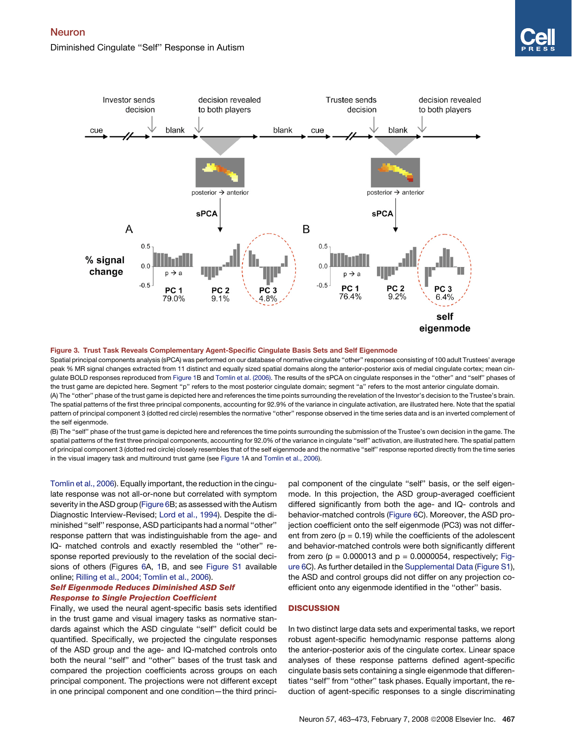# <span id="page-4-0"></span>Diminished Cingulate ''Self'' Response in Autism





Figure 3. Trust Task Reveals Complementary Agent-Specific Cingulate Basis Sets and Self Eigenmode

Spatial principal components analysis (sPCA) was performed on our database of normative cingulate ''other'' responses consisting of 100 adult Trustees' average peak % MR signal changes extracted from 11 distinct and equally sized spatial domains along the anterior-posterior axis of medial cingulate cortex; mean cingulate BOLD responses reproduced from [Figure](#page-1-0) 1B and [Tomlin](#page-10-0) et al. (2006). The results of the sPCA on cingulate responses in the ''other'' and ''self'' phases of the trust game are depicted here. Segment "p" refers to the most posterior cingulate domain; segment "a" refers to the most anterior cingulate domain. (A) The ''other'' phase of the trust game is depicted here and references the time points surrounding the revelation of the Investor's decision to the Trustee's brain. The spatial patterns of the first three principal components, accounting for 92.9% of the variance in cingulate activation, are illustrated here. Note that the spatial pattern of principal component 3 (dotted red circle) resembles the normative ''other'' response observed in the time series data and is an inverted complement of the self eigenmode.

(B) The ''self'' phase of the trust game is depicted here and references the time points surrounding the submission of the Trustee's own decision in the game. The spatial patterns of the first three principal components, accounting for 92.0% of the variance in cingulate "self" activation, are illustrated here. The spatial pattern of principal component 3 (dotted red circle) closely resembles that of the self eigenmode and the normative ''self'' response reported directly from the time series in the visual imagery task and multiround trust game (see [Figure](#page-1-0) 1A and [Tomlin](#page-10-0) et al., 2006).

[Tomlin](#page-10-0) et al., 2006). Equally important, the reduction in the cingulate response was not all-or-none but correlated with symptom severity in the ASD group [\(Figure](#page-7-0) 6B; as assessed with the Autism Diagnostic Interview-Revised; Lord et al., [1994\)](#page-10-0). Despite the diminished ''self'' response, ASD participants had a normal ''other'' response pattern that was indistinguishable from the age- and IQ- matched controls and exactly resembled the ''other'' response reported previously to the revelation of the social decisions of others (Figures [6](#page-7-0)A, [1](#page-1-0)B, and see [Figure](#page-9-0) S1 available online; Rilling et al., 2004; [Tomlin](#page-10-0) et al., 2006).

# Self Eigenmode Reduces Diminished ASD Self Response to Single Projection Coefficient

Finally, we used the neural agent-specific basis sets identified in the trust game and visual imagery tasks as normative standards against which the ASD cingulate ''self'' deficit could be quantified. Specifically, we projected the cingulate responses of the ASD group and the age- and IQ-matched controls onto both the neural ''self'' and ''other'' bases of the trust task and compared the projection coefficients across groups on each principal component. The projections were not different except in one principal component and one condition—the third principal component of the cingulate "self" basis, or the self eigenmode. In this projection, the ASD group-averaged coefficient differed significantly from both the age- and IQ- controls and behavior-matched controls [\(Figure](#page-7-0) 6C). Moreover, the ASD projection coefficient onto the self eigenmode (PC3) was not different from zero ( $p = 0.19$ ) while the coefficients of the adolescent and behavior-matched controls were both significantly different from zero ( $p = 0.000013$  and  $p = 0.0000054$ , respectively; [Fig](#page-7-0)[ure](#page-7-0) 6C). As further detailed in the [Supplemental](#page-9-0) Data [\(Figure](#page-9-0) S1), the ASD and control groups did not differ on any projection coefficient onto any eigenmode identified in the ''other'' basis.

# **DISCUSSION**

In two distinct large data sets and experimental tasks, we report robust agent-specific hemodynamic response patterns along the anterior-posterior axis of the cingulate cortex. Linear space analyses of these response patterns defined agent-specific cingulate basis sets containing a single eigenmode that differentiates ''self'' from ''other'' task phases. Equally important, the reduction of agent-specific responses to a single discriminating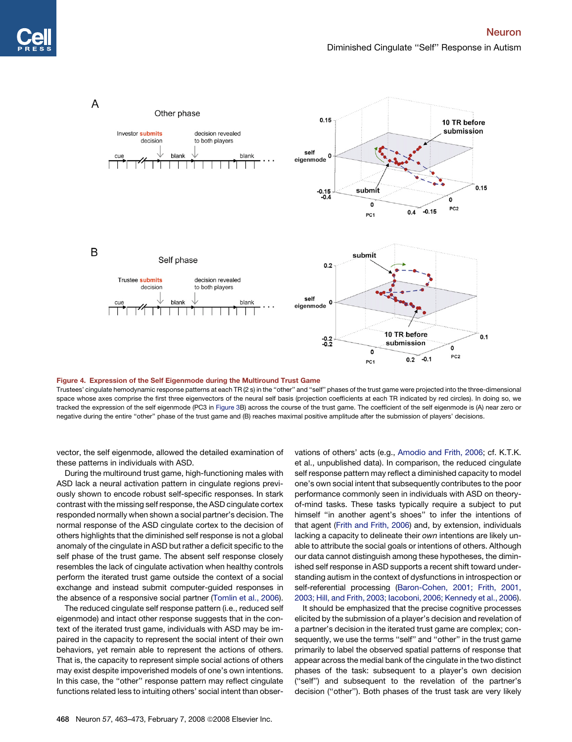<span id="page-5-0"></span>

#### Figure 4. Expression of the Self Eigenmode during the Multiround Trust Game

Trustees' cingulate hemodynamic response patterns at each TR (2 s) in the "other" and "self" phases of the trust game were projected into the three-dimensional space whose axes comprise the first three eigenvectors of the neural self basis (projection coefficients at each TR indicated by red circles). In doing so, we tracked the expression of the self eigenmode (PC3 in [Figure](#page-4-0) 3B) across the course of the trust game. The coefficient of the self eigenmode is (A) near zero or negative during the entire ''other'' phase of the trust game and (B) reaches maximal positive amplitude after the submission of players' decisions.

vector, the self eigenmode, allowed the detailed examination of these patterns in individuals with ASD.

During the multiround trust game, high-functioning males with ASD lack a neural activation pattern in cingulate regions previously shown to encode robust self-specific responses. In stark contrast with the missing self response, the ASD cingulate cortex responded normally when shown a social partner's decision. The normal response of the ASD cingulate cortex to the decision of others highlights that the diminished self response is not a global anomaly of the cingulate in ASD but rather a deficit specific to the self phase of the trust game. The absent self response closely resembles the lack of cingulate activation when healthy controls perform the iterated trust game outside the context of a social exchange and instead submit computer-guided responses in the absence of a responsive social partner ([Tomlin](#page-10-0) et al., 2006).

The reduced cingulate self response pattern (i.e., reduced self eigenmode) and intact other response suggests that in the context of the iterated trust game, individuals with ASD may be impaired in the capacity to represent the social intent of their own behaviors, yet remain able to represent the actions of others. That is, the capacity to represent simple social actions of others may exist despite impoverished models of one's own intentions. In this case, the ''other'' response pattern may reflect cingulate functions related less to intuiting others' social intent than observations of others' acts (e.g., [Amodio](#page-9-0) and Frith, 2006; cf. K.T.K. et al., unpublished data). In comparison, the reduced cingulate self response pattern may reflect a diminished capacity to model one's own social intent that subsequently contributes to the poor performance commonly seen in individuals with ASD on theoryof-mind tasks. These tasks typically require a subject to put himself ''in another agent's shoes'' to infer the intentions of that agent (Frith and [Frith,](#page-10-0) 2006) and, by extension, individuals lacking a capacity to delineate their *own* intentions are likely unable to attribute the social goals or intentions of others. Although our data cannot distinguish among these hypotheses, the diminished self response in ASD supports a recent shift toward understanding autism in the context of dysfunctions in introspection or self-referential processing [\(Baron-Cohen,](#page-9-0) 2001; Frith, 2001, 2003; Hill, and Frith, 2003; [Iacoboni,](#page-9-0) 2006; Kennedy et al., 2006).

It should be emphasized that the precise cognitive processes elicited by the submission of a player's decision and revelation of a partner's decision in the iterated trust game are complex; consequently, we use the terms "self" and "other" in the trust game primarily to label the observed spatial patterns of response that appear across the medial bank of the cingulate in the two distinct phases of the task: subsequent to a player's own decision (''self'') and subsequent to the revelation of the partner's decision (''other''). Both phases of the trust task are very likely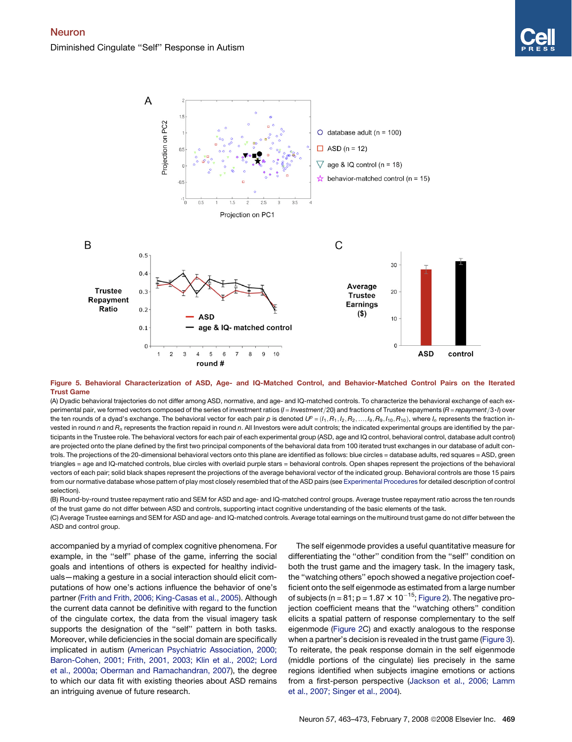<span id="page-6-0"></span>

#### Figure 5. Behavioral Characterization of ASD, Age- and IQ-Matched Control, and Behavior-Matched Control Pairs on the Iterated Trust Game

(A) Dyadic behavioral trajectories do not differ among ASD, normative, and age- and IQ-matched controls. To characterize the behavioral exchange of each experimental pair, we formed vectors composed of the series of investment ratios ( $l =$  *Investment* /20) and fractions of Trustee repayments ( $R =$  *repayment* /3 $\cdot$ *I*) over the ten rounds of a dyad's exchange. The behavioral vector for each pair p is denoted  $U^p = (I_1, R_1, I_2, R_2, ..., I_9, R_9, I_{10}, R_{10})$ , where  $I_n$  represents the fraction invested in round *n* and R<sub>n</sub> represents the fraction repaid in round *n*. All Investors were adult controls; the indicated experimental groups are identified by the participants in the Trustee role. The behavioral vectors for each pair of each experimental group (ASD, age and IQ control, behavioral control, database adult control) are projected onto the plane defined by the first two principal components of the behavioral data from 100 iterated trust exchanges in our database of adult controls. The projections of the 20-dimensional behavioral vectors onto this plane are identified as follows: blue circles = database adults, red squares = ASD, green triangles = age and IQ-matched controls, blue circles with overlaid purple stars = behavioral controls. Open shapes represent the projections of the behavioral vectors of each pair; solid black shapes represent the projections of the average behavioral vector of the indicated group. Behavioral controls are those 15 pairs from our normative database whose pattern of play most closely resembled that of the ASD pairs (see [Experimental](#page-8-0) Procedures for detailed description of control selection).

(B) Round-by-round trustee repayment ratio and SEM for ASD and age- and IQ-matched control groups. Average trustee repayment ratio across the ten rounds of the trust game do not differ between ASD and controls, supporting intact cognitive understanding of the basic elements of the task.

(C) Average Trustee earnings and SEM for ASD and age- and IQ-matched controls. Average total earnings on the multiround trust game do not differ between the ASD and control group.

accompanied by a myriad of complex cognitive phenomena. For example, in the ''self'' phase of the game, inferring the social goals and intentions of others is expected for healthy individuals—making a gesture in a social interaction should elicit computations of how one's actions influence the behavior of one's partner (Frith and Frith, 2006; [King-Casas](#page-10-0) et al., 2005). Although the current data cannot be definitive with regard to the function of the cingulate cortex, the data from the visual imagery task supports the designation of the ''self'' pattern in both tasks. Moreover, while deficiencies in the social domain are specifically implicated in autism (American Psychiatric [Association,](#page-9-0) 2000; [Baron-Cohen,](#page-9-0) 2001; Frith, 2001, 2003; Klin et al., 2002; Lord et al., 2000a; Oberman and [Ramachandran,](#page-9-0) 2007), the degree to which our data fit with existing theories about ASD remains an intriguing avenue of future research.

The self eigenmode provides a useful quantitative measure for differentiating the ''other'' condition from the ''self'' condition on both the trust game and the imagery task. In the imagery task, the ''watching others'' epoch showed a negative projection coefficient onto the self eigenmode as estimated from a large number of subjects (n = 81; p = 1.87  $\times$  10<sup>-15</sup>; [Figure](#page-2-0) 2). The negative projection coefficient means that the ''watching others'' condition elicits a spatial pattern of response complementary to the self eigenmode ([Figure](#page-2-0) 2C) and exactly analogous to the response when a partner's decision is revealed in the trust game ([Figure](#page-4-0) 3). To reiterate, the peak response domain in the self eigenmode (middle portions of the cingulate) lies precisely in the same regions identified when subjects imagine emotions or actions from a first-person perspective [\(Jackson](#page-10-0) et al., 2006; Lamm et al., 2007; [Singer](#page-10-0) et al., 2004).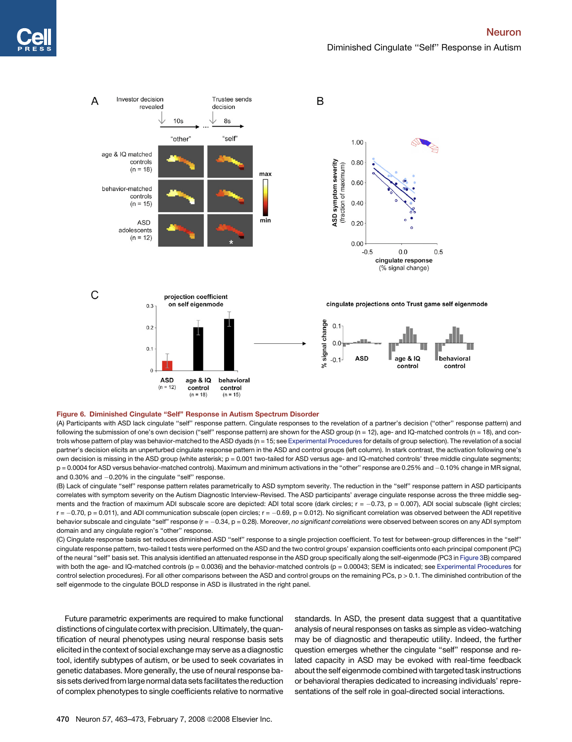<span id="page-7-0"></span>

# Figure 6. Diminished Cingulate ''Self'' Response in Autism Spectrum Disorder

(A) Participants with ASD lack cingulate "self" response pattern. Cingulate responses to the revelation of a partner's decision ("other" response pattern) and following the submission of one's own decision ("self" response pattern) are shown for the ASD group (n = 12), age- and IQ-matched controls (n = 18), and controls whose pattern of play was behavior-matched to the ASD dyads (n = 15; see [Experimental](#page-8-0) Procedures for details of group selection). The revelation of a social partner's decision elicits an unperturbed cingulate response pattern in the ASD and control groups (left column). In stark contrast, the activation following one's own decision is missing in the ASD group (white asterisk; p = 0.001 two-tailed for ASD versus age- and IQ-matched controls' three middle cingulate segments; p = 0.0004 for ASD versus behavior-matched controls). Maximum and minimum activations in the "other" response are 0.25% and -0.10% change in MR signal, and 0.30% and -0.20% in the cingulate "self" response.

(B) Lack of cingulate ''self'' response pattern relates parametrically to ASD symptom severity. The reduction in the ''self'' response pattern in ASD participants correlates with symptom severity on the Autism Diagnostic Interview-Revised. The ASD participants' average cingulate response across the three middle segments and the fraction of maximum ADI subscale score are depicted: ADI total score (dark circles;  $r = -0.73$ ,  $p = 0.007$ ), ADI social subscale (light circles;  $r = -0.70$ , p = 0.011), and ADI communication subscale (open circles;  $r = -0.69$ , p = 0.012). No significant correlation was observed between the ADI repetitive behavior subscale and cingulate "self" response (r = -0.34, p = 0.28). Moreover, no significant correlations were observed between scores on any ADI symptom domain and any cingulate region's ''other'' response.

(C) Cingulate response basis set reduces diminished ASD ''self'' response to a single projection coefficient. To test for between-group differences in the ''self'' cingulate response pattern, two-tailed t tests were performed on the ASD and the two control groups' expansion coefficients onto each principal component (PC) of the neural ''self'' basis set. This analysis identified an attenuated response in the ASD group specifically along the self-eigenmode (PC3 in [Figure](#page-4-0) 3B) compared with both the age- and IQ-matched controls ( $p = 0.0036$ ) and the behavior-matched controls ( $p = 0.00043$ ; SEM is indicated; see [Experimental](#page-8-0) Procedures for control selection procedures). For all other comparisons between the ASD and control groups on the remaining PCs, p > 0.1. The diminished contribution of the self eigenmode to the cingulate BOLD response in ASD is illustrated in the right panel.

Future parametric experiments are required to make functional distinctions of cingulate cortex with precision. Ultimately, the quantification of neural phenotypes using neural response basis sets elicited in the context of social exchange may serve as a diagnostic tool, identify subtypes of autism, or be used to seek covariates in genetic databases. More generally, the use of neural response basis sets derived from large normal data sets facilitates the reduction of complex phenotypes to single coefficients relative to normative standards. In ASD, the present data suggest that a quantitative analysis of neural responses on tasks as simple as video-watching may be of diagnostic and therapeutic utility. Indeed, the further question emerges whether the cingulate ''self'' response and related capacity in ASD may be evoked with real-time feedback about the self eigenmode combined with targeted task instructions or behavioral therapies dedicated to increasing individuals' representations of the self role in goal-directed social interactions.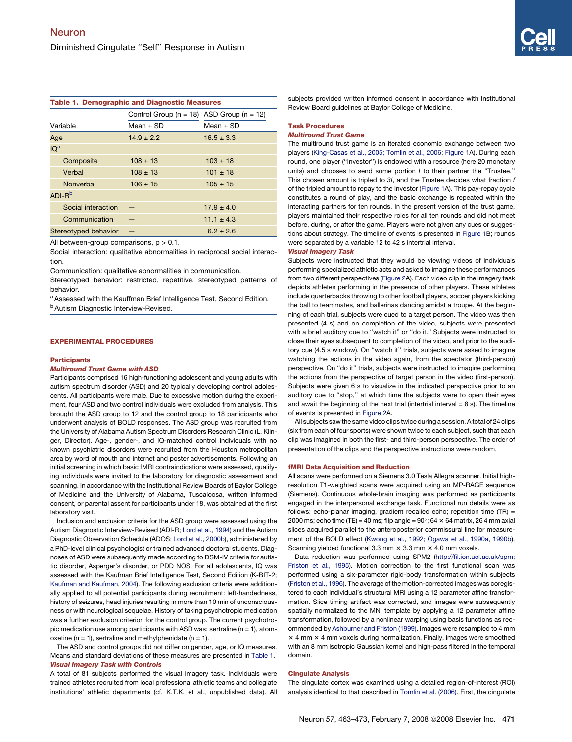<span id="page-8-0"></span>

| <b>Table 1. Demographic and Diagnostic Measures</b> |                                                   |                |
|-----------------------------------------------------|---------------------------------------------------|----------------|
|                                                     | Control Group ( $n = 18$ ) ASD Group ( $n = 12$ ) |                |
| Variable                                            | Mean $\pm$ SD                                     | Mean $\pm$ SD  |
| Age                                                 | $14.9 \pm 2.2$                                    | $16.5 \pm 3.3$ |
| IQ <sup>a</sup>                                     |                                                   |                |
| Composite                                           | $108 \pm 13$                                      | $103 \pm 18$   |
| Verbal                                              | $108 \pm 13$                                      | $101 \pm 18$   |
| Nonverbal                                           | $106 \pm 15$                                      | $105 \pm 15$   |
| $ADI-Rb$                                            |                                                   |                |
| Social interaction                                  |                                                   | $17.9 \pm 4.0$ |
| Communication                                       |                                                   | $11.1 \pm 4.3$ |
| Stereotyped behavior                                |                                                   | $6.2 \pm 2.6$  |

All between-group comparisons,  $p > 0.1$ .

Social interaction: qualitative abnormalities in reciprocal social interaction.

Communication: qualitative abnormalities in communication.

Stereotyped behavior: restricted, repetitive, stereotyped patterns of behavior.

a Assessed with the Kauffman Brief Intelligence Test, Second Edition.

**b** Autism Diagnostic Interview-Revised.

#### EXPERIMENTAL PROCEDURES

#### **Participants**

#### Multiround Trust Game with ASD

Participants comprised 16 high-functioning adolescent and young adults with autism spectrum disorder (ASD) and 20 typically developing control adolescents. All participants were male. Due to excessive motion during the experiment, four ASD and two control individuals were excluded from analysis. This brought the ASD group to 12 and the control group to 18 participants who underwent analysis of BOLD responses. The ASD group was recruited from the University of Alabama Autism Spectrum Disorders Research Clinic (L. Klinger, Director). Age-, gender-, and IQ-matched control individuals with no known psychiatric disorders were recruited from the Houston metropolitan area by word of mouth and internet and poster advertisements. Following an initial screening in which basic fMRI contraindications were assessed, qualifying individuals were invited to the laboratory for diagnostic assessment and scanning. In accordance with the Institutional Review Boards of Baylor College of Medicine and the University of Alabama, Tuscaloosa, written informed consent, or parental assent for participants under 18, was obtained at the first laboratory visit.

Inclusion and exclusion criteria for the ASD group were assessed using the Autism Diagnostic Interview-Revised (ADI-R; Lord et al., [1994](#page-10-0)) and the Autism Diagnostic Observation Schedule (ADOS; Lord et al., [2000b\)](#page-10-0), administered by a PhD-level clinical psychologist or trained advanced doctoral students. Diagnoses of ASD were subsequently made according to DSM-IV criteria for autistic disorder, Asperger's disorder, or PDD NOS. For all adolescents, IQ was assessed with the Kaufman Brief Intelligence Test, Second Edition (K-BIT-2; Kaufman and [Kaufman,](#page-10-0) 2004). The following exclusion criteria were additionally applied to all potential participants during recruitment: left-handedness, history of seizures, head injuries resulting in more than 10 min of unconsciousness or with neurological sequelae. History of taking psychotropic medication was a further exclusion criterion for the control group. The current psychotropic medication use among participants with ASD was: sertraline  $(n = 1)$ , atomoxetine ( $n = 1$ ), sertraline and methylphenidate ( $n = 1$ ).

The ASD and control groups did not differ on gender, age, or IQ measures. Means and standard deviations of these measures are presented in Table 1. Visual Imagery Task with Controls

A total of 81 subjects performed the visual imagery task. Individuals were trained athletes recruited from local professional athletic teams and collegiate institutions' athletic departments (cf. K.T.K. et al., unpublished data). All subjects provided written informed consent in accordance with Institutional Review Board guidelines at Baylor College of Medicine.

# Task Procedures

#### Multiround Trust Game

The multiround trust game is an iterated economic exchange between two players ([King-Casas](#page-10-0) et al., 2005; Tomlin et al., 2006; [Figure](#page-1-0) 1A). During each round, one player (''Investor'') is endowed with a resource (here 20 monetary units) and chooses to send some portion *I* to their partner the "Trustee." This chosen amount is tripled to *3I*, and the Trustee decides what fraction *f* of the tripled amount to repay to the Investor [\(Figure](#page-1-0) 1A). This pay-repay cycle constitutes a round of play, and the basic exchange is repeated within the interacting partners for ten rounds. In the present version of the trust game, players maintained their respective roles for all ten rounds and did not meet before, during, or after the game. Players were not given any cues or suggestions about strategy. The timeline of events is presented in [Figure](#page-1-0) 1B; rounds were separated by a variable 12 to 42 s intertrial interval.

#### Visual Imagery Task

Subjects were instructed that they would be viewing videos of individuals performing specialized athletic acts and asked to imagine these performances from two different perspectives [\(Figure](#page-2-0) 2A). Each video clip in the imagery task depicts athletes performing in the presence of other players. These athletes include quarterbacks throwing to other football players, soccer players kicking the ball to teammates, and ballerinas dancing amidst a troupe. At the beginning of each trial, subjects were cued to a target person. The video was then presented (4 s) and on completion of the video, subjects were presented with a brief auditory cue to ''watch it'' or ''do it.'' Subjects were instructed to close their eyes subsequent to completion of the video, and prior to the auditory cue (4.5 s window). On ''watch it'' trials, subjects were asked to imagine watching the actions in the video again, from the spectator (third-person) perspective. On "do it" trials, subjects were instructed to imagine performing the actions from the perspective of target person in the video (first-person). Subjects were given 6 s to visualize in the indicated perspective prior to an auditory cue to "stop," at which time the subjects were to open their eyes and await the beginning of the next trial (intertrial interval  $= 8$  s). The timeline of events is presented in [Figure](#page-2-0) 2A.

All subjects saw the same video clips twice during a session. A total of 24 clips (six from each of four sports) were shown twice to each subject, such that each clip was imagined in both the first- and third-person perspective. The order of presentation of the clips and the perspective instructions were random.

#### fMRI Data Acquisition and Reduction

All scans were performed on a Siemens 3.0 Tesla Allegra scanner. Initial highresolution T1-weighted scans were acquired using an MP-RAGE sequence (Siemens). Continuous whole-brain imaging was performed as participants engaged in the interpersonal exchange task. Functional run details were as follows: echo-planar imaging, gradient recalled echo; repetition time (TR) = 2000 ms; echo time (TE) = 40 ms; flip angle =  $90^\circ$ ; 64  $\times$  64 matrix, 26 4 mm axial slices acquired parallel to the anteroposterior commissural line for measurement of the BOLD effect (Kwong et al., 1992; [Ogawa](#page-10-0) et al., 1990a, 1990b). Scanning yielded functional 3.3 mm  $\times$  3.3 mm  $\times$  4.0 mm voxels.

Data reduction was performed using SPM2 (<http://fil.ion.ucl.ac.uk/spm>; [Friston](#page-10-0) et al., 1995). Motion correction to the first functional scan was performed using a six-parameter rigid-body transformation within subjects ([Friston](#page-10-0) et al., 1996). The average of the motion-corrected images was coregistered to each individual's structural MRI using a 12 parameter affine transformation. Slice timing artifact was corrected, and images were subsequently spatially normalized to the MNI template by applying a 12 parameter affine transformation, followed by a nonlinear warping using basis functions as recommended by [Ashburner](#page-9-0) and Friston (1999). Images were resampled to 4 mm  $\times$  4 mm  $\times$  4 mm voxels during normalization. Finally, images were smoothed with an 8 mm isotropic Gaussian kernel and high-pass filtered in the temporal domain.

#### Cingulate Analysis

The cingulate cortex was examined using a detailed region-of-interest (ROI) analysis identical to that described in [Tomlin](#page-10-0) et al. (2006). First, the cingulate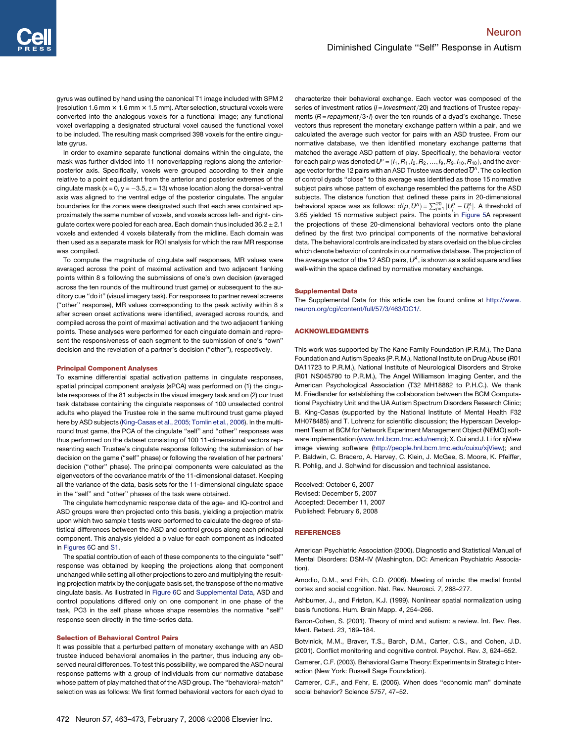<span id="page-9-0"></span>gyrus was outlined by hand using the canonical T1 image included with SPM 2 (resolution 1.6 mm  $\times$  1.6 mm  $\times$  1.5 mm). After selection, structural voxels were converted into the analogous voxels for a functional image; any functional voxel overlapping a designated structural voxel caused the functional voxel to be included. The resulting mask comprised 398 voxels for the entire cingulate gyrus.

In order to examine separate functional domains within the cingulate, the mask was further divided into 11 nonoverlapping regions along the anteriorposterior axis. Specifically, voxels were grouped according to their angle relative to a point equidistant from the anterior and posterior extremes of the cingulate mask  $(x = 0, y = -3.5, z = 13)$  whose location along the dorsal-ventral axis was aligned to the ventral edge of the posterior cingulate. The angular boundaries for the zones were designated such that each area contained approximately the same number of voxels, and voxels across left- and right- cingulate cortex were pooled for each area. Each domain thus included  $36.2 \pm 2.1$ voxels and extended 4 voxels bilaterally from the midline. Each domain was then used as a separate mask for ROI analysis for which the raw MR response was compiled.

To compute the magnitude of cingulate self responses, MR values were averaged across the point of maximal activation and two adjacent flanking points within 8 s following the submissions of one's own decision (averaged across the ten rounds of the multiround trust game) or subsequent to the auditory cue ''do it'' (visual imagery task). For responses to partner reveal screens (''other'' response), MR values corresponding to the peak activity within 8 s after screen onset activations were identified, averaged across rounds, and compiled across the point of maximal activation and the two adjacent flanking points. These analyses were performed for each cingulate domain and represent the responsiveness of each segment to the submission of one's ''own'' decision and the revelation of a partner's decision (''other''), respectively.

#### Principal Component Analyses

To examine differential spatial activation patterns in cingulate responses, spatial principal component analysis (sPCA) was performed on (1) the cingulate responses of the 81 subjects in the visual imagery task and on (2) our trust task database containing the cingulate responses of 100 unselected control adults who played the Trustee role in the same multiround trust game played here by ASD subjects [\(King-Casas](#page-10-0) et al., 2005; Tomlin et al., 2006). In the multiround trust game, the PCA of the cingulate "self" and "other" responses was thus performed on the dataset consisting of 100 11-dimensional vectors representing each Trustee's cingulate response following the submission of her decision on the game (''self'' phase) or following the revelation of her partners' decision (''other'' phase). The principal components were calculated as the eigenvectors of the covariance matrix of the 11-dimensional dataset. Keeping all the variance of the data, basis sets for the 11-dimensional cingulate space in the "self" and "other" phases of the task were obtained.

The cingulate hemodynamic response data of the age- and IQ-control and ASD groups were then projected onto this basis, yielding a projection matrix upon which two sample t tests were performed to calculate the degree of statistical differences between the ASD and control groups along each principal component. This analysis yielded a p value for each component as indicated in [Figures](#page-7-0) 6C and S1.

The spatial contribution of each of these components to the cingulate ''self'' response was obtained by keeping the projections along that component unchanged while setting all other projections to zero and multiplying the resulting projection matrix by the conjugate basis set, the transpose of the normative cingulate basis. As illustrated in [Figure](#page-7-0) 6C and Supplemental Data, ASD and control populations differed only on one component in one phase of the task, PC3 in the self phase whose shape resembles the normative ''self'' response seen directly in the time-series data.

#### Selection of Behavioral Control Pairs

It was possible that a perturbed pattern of monetary exchange with an ASD trustee induced behavioral anomalies in the partner, thus inducing any observed neural differences. To test this possibility, we compared the ASD neural response patterns with a group of individuals from our normative database whose pattern of play matched that of the ASD group. The ''behavioral-match'' selection was as follows: We first formed behavioral vectors for each dyad to characterize their behavioral exchange. Each vector was composed of the series of investment ratios ( $l = Investment/20$ ) and fractions of Trustee repayments  $(R = \text{repayment}/3 \cdot I)$  over the ten rounds of a dyad's exchange. These vectors thus represent the monetary exchange pattern within a pair, and we calculated the average such vector for pairs with an ASD trustee. From our normative database, we then identified monetary exchange patterns that matched the average ASD pattern of play. Specifically, the behavioral vector for each pair  $p$  was denoted  $U^p = (I_1, R_1, I_2, R_2, \ldots, I_9, R_9, I_{10}, R_{10})$ , and the average vector for the 12 pairs with an ASD Trustee was denoted *U<sup>A</sup>*. The collection of control dyads ''close'' to this average was identified as those 15 normative subject pairs whose pattern of exchange resembled the patterns for the ASD subjects. The distance function that defined these pairs in 20-dimensional behavioral space was as follows:  $d(p, \overline{U}^A)$  =  $\sum_{j=1}^{20} |U_j^D - \overline{U_j^A}|.$  A threshold of 3.65 yielded 15 normative subject pairs. The points in [Figure](#page-6-0) 5A represent the projections of these 20-dimensional behavioral vectors onto the plane defined by the first two principal components of the normative behavioral data. The behavioral controls are indicated by stars overlaid on the blue circles which denote behavior of controls in our normative database. The projection of the average vector of the 12 ASD pairs,  $\overline{U}^A$ , is shown as a solid square and lies well-within the space defined by normative monetary exchange.

#### Supplemental Data

The Supplemental Data for this article can be found online at [http://www.](http://www.neuron.org/cgi/content/full/57/3/463/DC1/) [neuron.org/cgi/content/full/57/3/463/DC1/](http://www.neuron.org/cgi/content/full/57/3/463/DC1/).

#### ACKNOWLEDGMENTS

This work was supported by The Kane Family Foundation (P.R.M.), The Dana Foundation and Autism Speaks (P.R.M.), National Institute on Drug Abuse (R01 DA11723 to P.R.M.), National Institute of Neurological Disorders and Stroke (R01 NS045790 to P.R.M.), The Angel Williamson Imaging Center, and the American Psychological Association (T32 MH18882 to P.H.C.). We thank M. Friedlander for establishing the collaboration between the BCM Computational Psychiatry Unit and the UA Autism Spectrum Disorders Research Clinic; B. King-Casas (supported by the National Institute of Mental Health F32 MH078485) and T. Lohrenz for scientific discussion; the Hyperscan Development Team at BCM for Network Experiment Management Object (NEMO) software implementation ([www.hnl.bcm.tmc.edu/nemo](http://www.hnl.bcm.tmc.edu/nemo)); X. Cui and J. Li for xjView image viewing software (<http://people.hnl.bcm.tmc.edu/cuixu/xjView>); and P. Baldwin, C. Bracero, A. Harvey, C. Klein, J. McGee, S. Moore, K. Pfeiffer, R. Pohlig, and J. Schwind for discussion and technical assistance.

Received: October 6, 2007 Revised: December 5, 2007 Accepted: December 11, 2007 Published: February 6, 2008

#### **REFERENCES**

American Psychiatric Association (2000). Diagnostic and Statistical Manual of Mental Disorders: DSM-IV (Washington, DC: American Psychiatric Association).

Amodio, D.M., and Frith, C.D. (2006). Meeting of minds: the medial frontal cortex and social cognition. Nat. Rev. Neurosci. *7*, 268–277.

Ashburner, J., and Friston, K.J. (1999). Nonlinear spatial normalization using basis functions. Hum. Brain Mapp. *4*, 254–266.

Baron-Cohen, S. (2001). Theory of mind and autism: a review. Int. Rev. Res. Ment. Retard. *23*, 169–184.

Botvinick, M.M., Braver, T.S., Barch, D.M., Carter, C.S., and Cohen, J.D. (2001). Conflict monitoring and cognitive control. Psychol. Rev. *3*, 624–652.

Camerer, C.F. (2003). Behavioral Game Theory: Experiments in Strategic Interaction (New York: Russell Sage Foundation).

Camerer, C.F., and Fehr, E. (2006). When does ''economic man'' dominate social behavior? Science *5757*, 47–52.